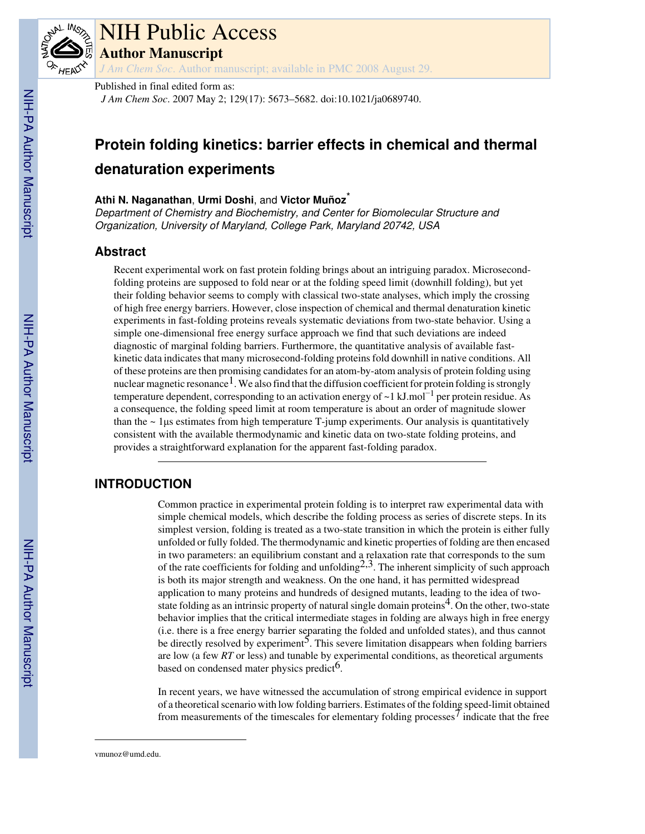

## NIH Public Access

**Author Manuscript**

*J Am Chem Soc*. Author manuscript; available in PMC 2008 August 29.

#### Published in final edited form as:

*J Am Chem Soc*. 2007 May 2; 129(17): 5673–5682. doi:10.1021/ja0689740.

### **Protein folding kinetics: barrier effects in chemical and thermal denaturation experiments**

#### **Athi N. Naganathan**, **Urmi Doshi**, and **Victor Muñoz**\*

Department of Chemistry and Biochemistry, and Center for Biomolecular Structure and Organization, University of Maryland, College Park, Maryland 20742, USA

#### **Abstract**

Recent experimental work on fast protein folding brings about an intriguing paradox. Microsecondfolding proteins are supposed to fold near or at the folding speed limit (downhill folding), but yet their folding behavior seems to comply with classical two-state analyses, which imply the crossing of high free energy barriers. However, close inspection of chemical and thermal denaturation kinetic experiments in fast-folding proteins reveals systematic deviations from two-state behavior. Using a simple one-dimensional free energy surface approach we find that such deviations are indeed diagnostic of marginal folding barriers. Furthermore, the quantitative analysis of available fastkinetic data indicates that many microsecond-folding proteins fold downhill in native conditions. All of these proteins are then promising candidates for an atom-by-atom analysis of protein folding using nuclear magnetic resonance<sup>1</sup>. We also find that the diffusion coefficient for protein folding is strongly temperature dependent, corresponding to an activation energy of ~1 kJ.mol<sup>-1</sup> per protein residue. As a consequence, the folding speed limit at room temperature is about an order of magnitude slower than the  $\sim$  1 µs estimates from high temperature T-jump experiments. Our analysis is quantitatively consistent with the available thermodynamic and kinetic data on two-state folding proteins, and provides a straightforward explanation for the apparent fast-folding paradox.

#### **INTRODUCTION**

Common practice in experimental protein folding is to interpret raw experimental data with simple chemical models, which describe the folding process as series of discrete steps. In its simplest version, folding is treated as a two-state transition in which the protein is either fully unfolded or fully folded. The thermodynamic and kinetic properties of folding are then encased in two parameters: an equilibrium constant and a relaxation rate that corresponds to the sum of the rate coefficients for folding and unfolding<sup>2,3</sup>. The inherent simplicity of such approach is both its major strength and weakness. On the one hand, it has permitted widespread application to many proteins and hundreds of designed mutants, leading to the idea of twostate folding as an intrinsic property of natural single domain proteins<sup>4</sup>. On the other, two-state behavior implies that the critical intermediate stages in folding are always high in free energy (i.e. there is a free energy barrier separating the folded and unfolded states), and thus cannot be directly resolved by experiment<sup>5</sup>. This severe limitation disappears when folding barriers are low (a few *RT* or less) and tunable by experimental conditions, as theoretical arguments based on condensed mater physics predict<sup>6</sup>.

In recent years, we have witnessed the accumulation of strong empirical evidence in support of a theoretical scenario with low folding barriers. Estimates of the folding speed-limit obtained from measurements of the timescales for elementary folding processes<sup>7</sup> indicate that the free

vmunoz@umd.edu.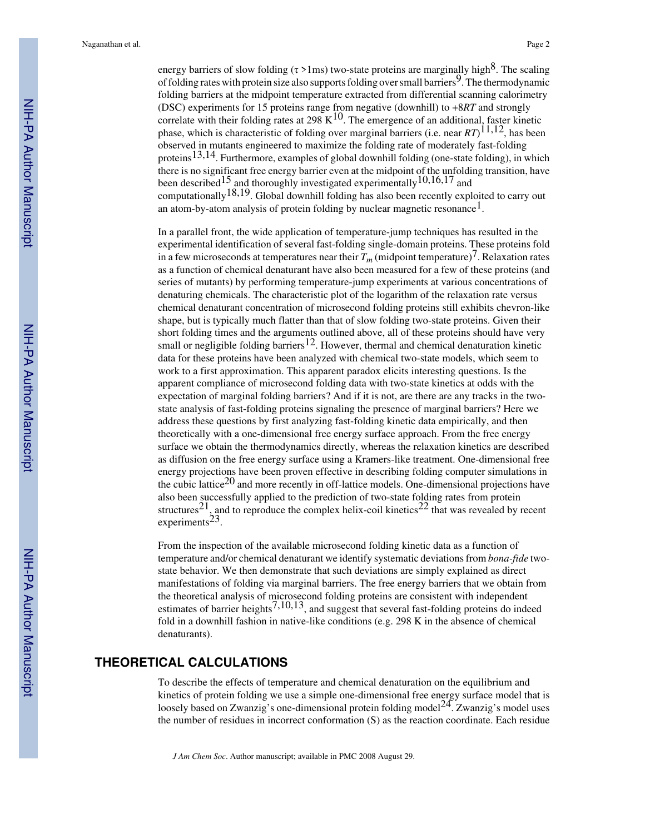energy barriers of slow folding ( $\tau > 1$ ms) two-state proteins are marginally high<sup>8</sup>. The scaling of folding rates with protein size also supports folding over small barriers<sup>9</sup>. The thermodynamic folding barriers at the midpoint temperature extracted from differential scanning calorimetry (DSC) experiments for 15 proteins range from negative (downhill) to +8*RT* and strongly correlate with their folding rates at  $298 \text{ K}^{10}$ . The emergence of an additional, faster kinetic phase, which is characteristic of folding over marginal barriers (i.e. near *RT*) 11,12, has been observed in mutants engineered to maximize the folding rate of moderately fast-folding proteins<sup>13,14</sup>. Furthermore, examples of global downhill folding (one-state folding), in which there is no significant free energy barrier even at the midpoint of the unfolding transition, have been described<sup>15</sup> and thoroughly investigated experimentally<sup>10,16,17</sup> and computationally<sup>18,19</sup>. Global downhill folding has also been recently exploited to carry out an atom-by-atom analysis of protein folding by nuclear magnetic resonance<sup>1</sup>.

In a parallel front, the wide application of temperature-jump techniques has resulted in the experimental identification of several fast-folding single-domain proteins. These proteins fold in a few microseconds at temperatures near their  $T_m$  (midpoint temperature)<sup>7</sup>. Relaxation rates as a function of chemical denaturant have also been measured for a few of these proteins (and series of mutants) by performing temperature-jump experiments at various concentrations of denaturing chemicals. The characteristic plot of the logarithm of the relaxation rate versus chemical denaturant concentration of microsecond folding proteins still exhibits chevron-like shape, but is typically much flatter than that of slow folding two-state proteins. Given their short folding times and the arguments outlined above, all of these proteins should have very small or negligible folding barriers<sup>12</sup>. However, thermal and chemical denaturation kinetic data for these proteins have been analyzed with chemical two-state models, which seem to work to a first approximation. This apparent paradox elicits interesting questions. Is the apparent compliance of microsecond folding data with two-state kinetics at odds with the expectation of marginal folding barriers? And if it is not, are there are any tracks in the twostate analysis of fast-folding proteins signaling the presence of marginal barriers? Here we address these questions by first analyzing fast-folding kinetic data empirically, and then theoretically with a one-dimensional free energy surface approach. From the free energy surface we obtain the thermodynamics directly, whereas the relaxation kinetics are described as diffusion on the free energy surface using a Kramers-like treatment. One-dimensional free energy projections have been proven effective in describing folding computer simulations in the cubic lattice<sup>20</sup> and more recently in off-lattice models. One-dimensional projections have also been successfully applied to the prediction of two-state folding rates from protein structures<sup>21</sup>, and to reproduce the complex helix-coil kinetics<sup>22</sup> that was revealed by recent experiments<sup>23</sup>.

From the inspection of the available microsecond folding kinetic data as a function of temperature and/or chemical denaturant we identify systematic deviations from *bona-fide* twostate behavior. We then demonstrate that such deviations are simply explained as direct manifestations of folding via marginal barriers. The free energy barriers that we obtain from the theoretical analysis of microsecond folding proteins are consistent with independent estimates of barrier heights<sup>7,10,13</sup>, and suggest that several fast-folding proteins do indeed fold in a downhill fashion in native-like conditions (e.g. 298 K in the absence of chemical denaturants).

#### **THEORETICAL CALCULATIONS**

To describe the effects of temperature and chemical denaturation on the equilibrium and kinetics of protein folding we use a simple one-dimensional free energy surface model that is loosely based on Zwanzig's one-dimensional protein folding model<sup>24</sup>. Zwanzig's model uses the number of residues in incorrect conformation (S) as the reaction coordinate. Each residue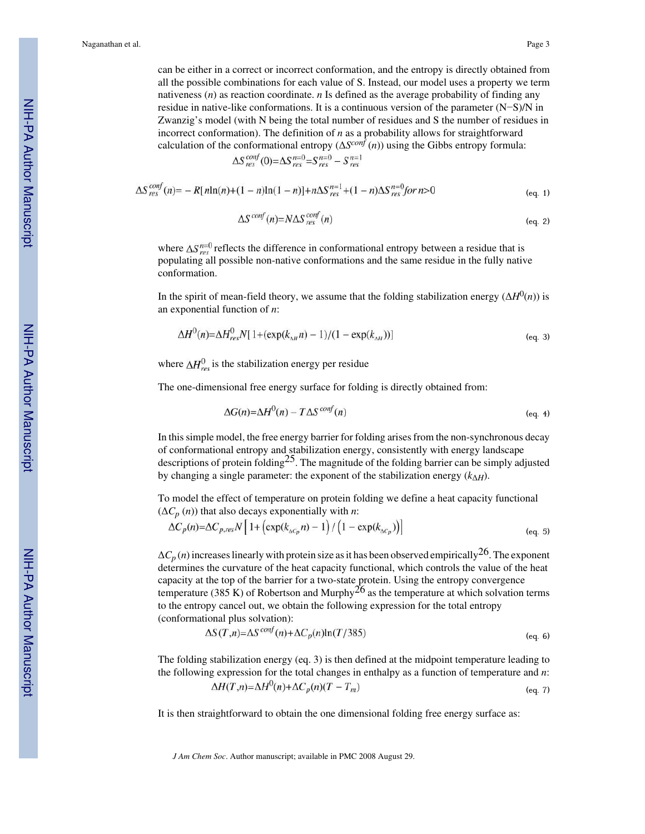can be either in a correct or incorrect conformation, and the entropy is directly obtained from all the possible combinations for each value of S. Instead, our model uses a property we term nativeness (*n*) as reaction coordinate. *n* Is defined as the average probability of finding any residue in native-like conformations. It is a continuous version of the parameter (N−S)/N in Zwanzig's model (with N being the total number of residues and S the number of residues in incorrect conformation). The definition of *n* as a probability allows for straightforward calculation of the conformational entropy (Δ*S conf* (*n*)) using the Gibbs entropy formula:

$$
\Delta S_{res}^{conf}(0) = \Delta S_{res}^{n=0} = S_{res}^{n=0} - S_{res}^{n=0}
$$

$$
\Delta S_{res}^{cont}(n) = -R[nln(n) + (1 - n)ln(1 - n)] + n\Delta S_{res}^{n=1} + (1 - n)\Delta S_{res}^{n=0} \quad for \ n > 0
$$
\n(eq. 1)

$$
\Delta S^{conf}(n) = N \Delta S_{res}^{conf}(n) \tag{eq. 2}
$$

where  $\Delta S_{res}^{n=0}$  reflects the difference in conformational entropy between a residue that is populating all possible non-native conformations and the same residue in the fully native conformation.

In the spirit of mean-field theory, we assume that the folding stabilization energy  $(\Delta H^0(n))$  is an exponential function of *n*:

$$
\Delta H^{0}(n) = \Delta H^{0}_{res} N[1 + (\exp(k_{\text{AH}} n) - 1)/(1 - \exp(k_{\text{AH}}))]
$$
\n(eq. 3)

where  $\Delta H_{res}^0$  is the stabilization energy per residue

The one-dimensional free energy surface for folding is directly obtained from:

$$
\Delta G(n) = \Delta H^0(n) - T\Delta S^{conf}(n) \tag{eq. 4}
$$

In this simple model, the free energy barrier for folding arises from the non-synchronous decay of conformational entropy and stabilization energy, consistently with energy landscape descriptions of protein folding<sup>25</sup>. The magnitude of the folding barrier can be simply adjusted by changing a single parameter: the exponent of the stabilization energy  $(k_{\Delta H})$ .

To model the effect of temperature on protein folding we define a heat capacity functional  $(\Delta C_p(n))$  that also decays exponentially with *n*:

$$
\Delta C_p(n) = \Delta C_{p,res} N \left[ 1 + \left( \exp(k_{\Delta C_p} n) - 1 \right) / \left( 1 - \exp(k_{\Delta C_p}) \right) \right]
$$
\n(eq. 5)

 $\Delta C_p(n)$  increases linearly with protein size as it has been observed empirically <sup>26</sup>. The exponent determines the curvature of the heat capacity functional, which controls the value of the heat capacity at the top of the barrier for a two-state protein. Using the entropy convergence temperature (385 K) of Robertson and Murphy<sup>26</sup> as the temperature at which solvation terms to the entropy cancel out, we obtain the following expression for the total entropy (conformational plus solvation):

$$
\Delta S(T,n) = \Delta S^{conf}(n) + \Delta C_p(n) \ln(T/385)
$$
 (eq. 6)

The folding stabilization energy (eq. 3) is then defined at the midpoint temperature leading to the following expression for the total changes in enthalpy as a function of temperature and *n*:

$$
\Delta H(T,n) = \Delta H^0(n) + \Delta C_p(n)(T - T_m) \tag{eq.7}
$$

It is then straightforward to obtain the one dimensional folding free energy surface as: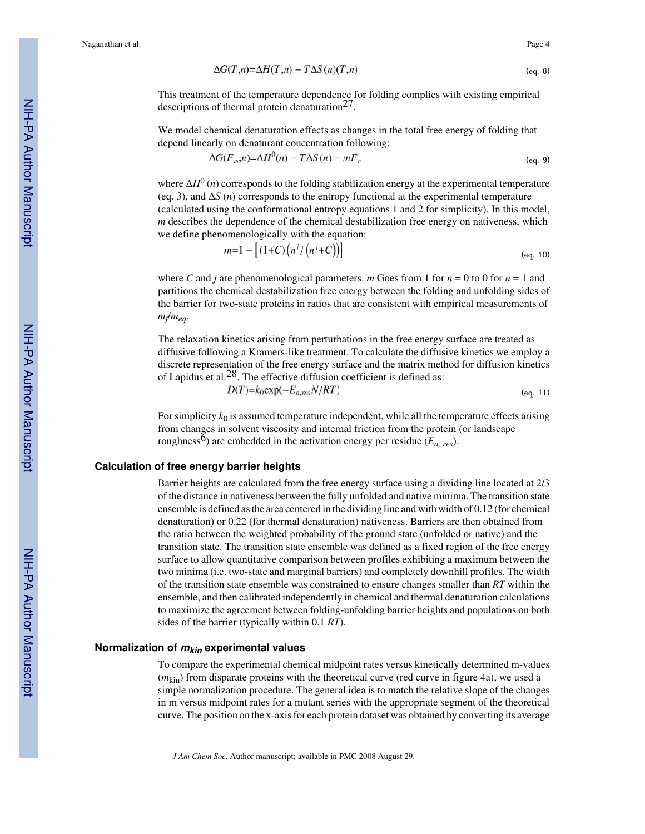$$
\Delta G(T,n) = \Delta H(T,n) - T\Delta S(n)(T,n) \tag{eq. 8}
$$

This treatment of the temperature dependence for folding complies with existing empirical descriptions of thermal protein denaturation<sup>27</sup>.

We model chemical denaturation effects as changes in the total free energy of folding that depend linearly on denaturant concentration following:

$$
\Delta G(F_D, n) = \Delta H^0(n) - T\Delta S(n) - mF_D \tag{eq. 9}
$$

where  $\Delta H^{0}(n)$  corresponds to the folding stabilization energy at the experimental temperature (eq. 3), and Δ*S* (*n*) corresponds to the entropy functional at the experimental temperature (calculated using the conformational entropy equations 1 and 2 for simplicity). In this model, *m* describes the dependence of the chemical destabilization free energy on nativeness, which we define phenomenologically with the equation:<br> $[4 \times 6 \times 1 \times 1]$ 

$$
n=1 - [(1+C)(n/((n'+C)))]
$$
 (eq. 10)

where *C* and *j* are phenomenological parameters. *m* Goes from 1 for  $n = 0$  to 0 for  $n = 1$  and partitions the chemical destabilization free energy between the folding and unfolding sides of the barrier for two-state proteins in ratios that are consistent with empirical measurements of *mf* /*meq*.

The relaxation kinetics arising from perturbations in the free energy surface are treated as diffusive following a Kramers-like treatment. To calculate the diffusive kinetics we employ a discrete representation of the free energy surface and the matrix method for diffusion kinetics of Lapidus et al.<sup>28</sup>. The effective diffusion coefficient is defined as:

$$
D(T) = k_0 \exp(-E_{a, res} N/RT) \tag{eq. 11}
$$

For simplicity  $k_0$  is assumed temperature independent, while all the temperature effects arising from changes in solvent viscosity and internal friction from the protein (or landscape roughness<sup>6</sup>) are embedded in the activation energy per residue ( $E_a$ <sub>res</sub>).

#### **Calculation of free energy barrier heights**

Barrier heights are calculated from the free energy surface using a dividing line located at 2/3 of the distance in nativeness between the fully unfolded and native minima. The transition state ensemble is defined as the area centered in the dividing line and with width of 0.12 (for chemical denaturation) or 0.22 (for thermal denaturation) nativeness. Barriers are then obtained from the ratio between the weighted probability of the ground state (unfolded or native) and the transition state. The transition state ensemble was defined as a fixed region of the free energy surface to allow quantitative comparison between profiles exhibiting a maximum between the two minima (i.e. two-state and marginal barriers) and completely downhill profiles. The width of the transition state ensemble was constrained to ensure changes smaller than *RT* within the ensemble, and then calibrated independently in chemical and thermal denaturation calculations to maximize the agreement between folding-unfolding barrier heights and populations on both sides of the barrier (typically within 0.1 *RT*).

#### **Normalization of mkin experimental values**

To compare the experimental chemical midpoint rates versus kinetically determined m-values (*m*kin) from disparate proteins with the theoretical curve (red curve in figure 4a), we used a simple normalization procedure. The general idea is to match the relative slope of the changes in m versus midpoint rates for a mutant series with the appropriate segment of the theoretical curve. The position on the x-axis for each protein dataset was obtained by converting its average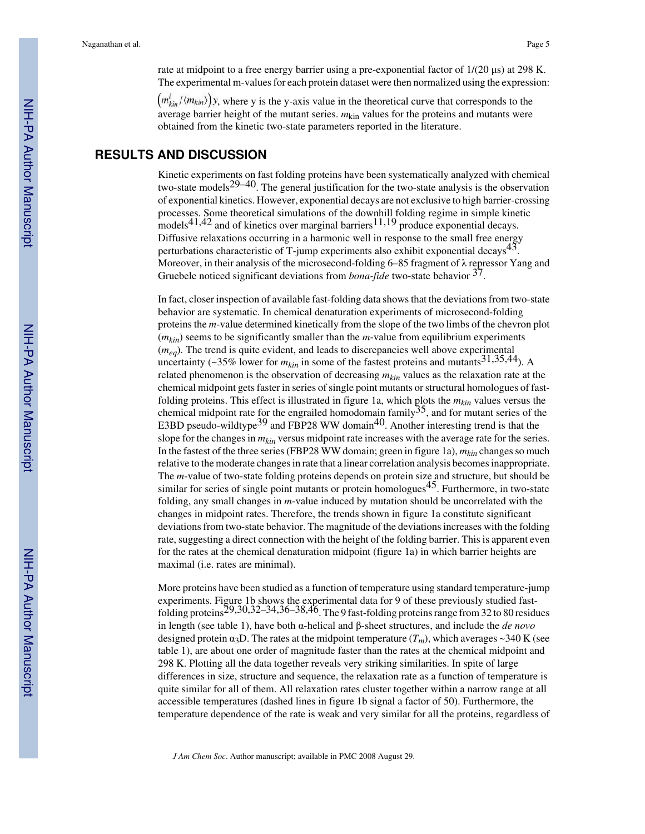rate at midpoint to a free energy barrier using a pre-exponential factor of 1/(20 μs) at 298 K. The experimental m-values for each protein dataset were then normalized using the expression:

 $\left(m_{kin}^i/\langle m_{kin}\rangle\right)$ y, where y is the y-axis value in the theoretical curve that corresponds to the average barrier height of the mutant series.  $m_{\text{kin}}$  values for the proteins and mutants were obtained from the kinetic two-state parameters reported in the literature.

#### **RESULTS AND DISCUSSION**

Kinetic experiments on fast folding proteins have been systematically analyzed with chemical two-state models<sup>29–40</sup>. The general justification for the two-state analysis is the observation of exponential kinetics. However, exponential decays are not exclusive to high barrier-crossing processes. Some theoretical simulations of the downhill folding regime in simple kinetic models<sup>41,42</sup> and of kinetics over marginal barriers<sup>11,19</sup> produce exponential decays. Diffusive relaxations occurring in a harmonic well in response to the small free energy perturbations characteristic of T-jump experiments also exhibit exponential decays<sup>43</sup>. Moreover, in their analysis of the microsecond-folding 6–85 fragment of  $\lambda$  repressor Yang and Gruebele noticed significant deviations from *bona-fide* two-state behavior <sup>37</sup>.

In fact, closer inspection of available fast-folding data shows that the deviations from two-state behavior are systematic. In chemical denaturation experiments of microsecond-folding proteins the *m*-value determined kinetically from the slope of the two limbs of the chevron plot  $(m_{kin})$  seems to be significantly smaller than the *m*-value from equilibrium experiments (*meq*). The trend is quite evident, and leads to discrepancies well above experimental uncertainty ( $\sim$ 35% lower for  $m_{kin}$  in some of the fastest proteins and mutants<sup>31,35,44</sup>). A related phenomenon is the observation of decreasing *mkin* values as the relaxation rate at the chemical midpoint gets faster in series of single point mutants or structural homologues of fastfolding proteins. This effect is illustrated in figure 1a, which plots the *mkin* values versus the chemical midpoint rate for the engrailed homodomain family  $35$ , and for mutant series of the E3BD pseudo-wildtype<sup>39</sup> and FBP28 WW domain<sup>40</sup>. Another interesting trend is that the slope for the changes in *mkin* versus midpoint rate increases with the average rate for the series. In the fastest of the three series (FBP28 WW domain; green in figure 1a), *mkin* changes so much relative to the moderate changes in rate that a linear correlation analysis becomes inappropriate. The *m*-value of two-state folding proteins depends on protein size and structure, but should be similar for series of single point mutants or protein homologues<sup>45</sup>. Furthermore, in two-state folding, any small changes in *m*-value induced by mutation should be uncorrelated with the changes in midpoint rates. Therefore, the trends shown in figure 1a constitute significant deviations from two-state behavior. The magnitude of the deviations increases with the folding rate, suggesting a direct connection with the height of the folding barrier. This is apparent even for the rates at the chemical denaturation midpoint (figure 1a) in which barrier heights are maximal (i.e. rates are minimal).

More proteins have been studied as a function of temperature using standard temperature-jump experiments. Figure 1b shows the experimental data for 9 of these previously studied fastfolding proteins29,30,32–34,36–38,46. The 9 fast-folding proteins range from 32 to 80 residues in length (see table 1), have both α-helical and β-sheet structures, and include the *de novo* designed protein  $\alpha_3$ D. The rates at the midpoint temperature  $(T_m)$ , which averages ~340 K (see table 1), are about one order of magnitude faster than the rates at the chemical midpoint and 298 K. Plotting all the data together reveals very striking similarities. In spite of large differences in size, structure and sequence, the relaxation rate as a function of temperature is quite similar for all of them. All relaxation rates cluster together within a narrow range at all accessible temperatures (dashed lines in figure 1b signal a factor of 50). Furthermore, the temperature dependence of the rate is weak and very similar for all the proteins, regardless of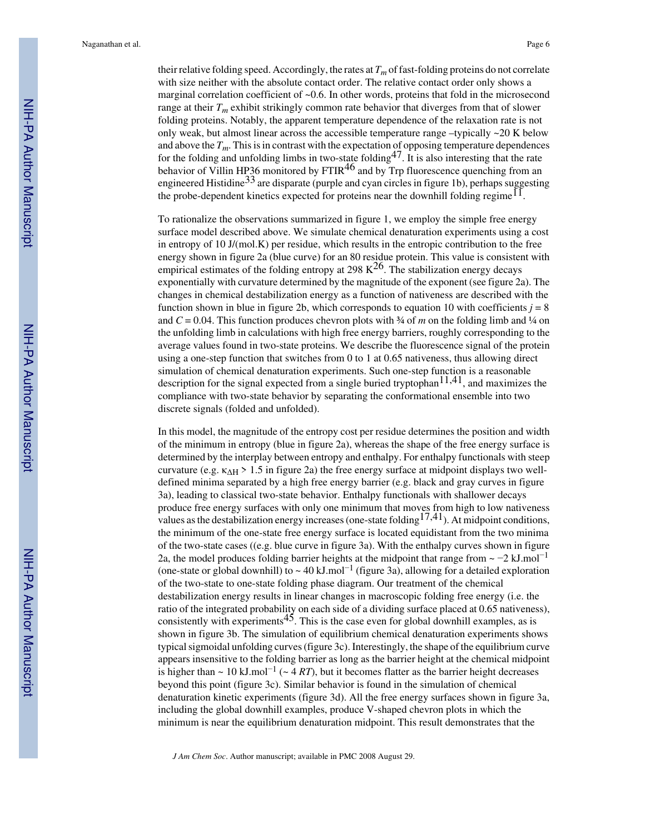their relative folding speed. Accordingly, the rates at *Tm* of fast-folding proteins do not correlate with size neither with the absolute contact order. The relative contact order only shows a marginal correlation coefficient of  $\sim 0.6$ . In other words, proteins that fold in the microsecond range at their  $T_m$  exhibit strikingly common rate behavior that diverges from that of slower folding proteins. Notably, the apparent temperature dependence of the relaxation rate is not only weak, but almost linear across the accessible temperature range –typically ~20 K below and above the  $T_m$ . This is in contrast with the expectation of opposing temperature dependences for the folding and unfolding limbs in two-state folding47. It is also interesting that the rate behavior of Villin HP36 monitored by FTIR<sup>46</sup> and by Trp fluorescence quenching from an engineered Histidine<sup>33</sup> are disparate (purple and cyan circles in figure 1b), perhaps suggesting the probe-dependent kinetics expected for proteins near the downhill folding regime<sup>11</sup>.

To rationalize the observations summarized in figure 1, we employ the simple free energy surface model described above. We simulate chemical denaturation experiments using a cost in entropy of 10  $J/(mol.K)$  per residue, which results in the entropic contribution to the free energy shown in figure 2a (blue curve) for an 80 residue protein. This value is consistent with empirical estimates of the folding entropy at 298  $\mathrm{K}^{26}$ . The stabilization energy decays exponentially with curvature determined by the magnitude of the exponent (see figure 2a). The changes in chemical destabilization energy as a function of nativeness are described with the function shown in blue in figure 2b, which corresponds to equation 10 with coefficients  $j = 8$ and  $C = 0.04$ . This function produces chevron plots with  $\frac{3}{4}$  of *m* on the folding limb and  $\frac{1}{4}$  on the unfolding limb in calculations with high free energy barriers, roughly corresponding to the average values found in two-state proteins. We describe the fluorescence signal of the protein using a one-step function that switches from 0 to 1 at 0.65 nativeness, thus allowing direct simulation of chemical denaturation experiments. Such one-step function is a reasonable description for the signal expected from a single buried tryptophan<sup>11,41</sup>, and maximizes the compliance with two-state behavior by separating the conformational ensemble into two discrete signals (folded and unfolded).

In this model, the magnitude of the entropy cost per residue determines the position and width of the minimum in entropy (blue in figure 2a), whereas the shape of the free energy surface is determined by the interplay between entropy and enthalpy. For enthalpy functionals with steep curvature (e.g.  $\kappa_{\rm AH} > 1.5$  in figure 2a) the free energy surface at midpoint displays two welldefined minima separated by a high free energy barrier (e.g. black and gray curves in figure 3a), leading to classical two-state behavior. Enthalpy functionals with shallower decays produce free energy surfaces with only one minimum that moves from high to low nativeness values as the destabilization energy increases (one-state folding  $17,41$ ). At midpoint conditions, the minimum of the one-state free energy surface is located equidistant from the two minima of the two-state cases ((e.g. blue curve in figure 3a). With the enthalpy curves shown in figure 2a, the model produces folding barrier heights at the midpoint that range from  $\sim -2$  kJ.mol<sup>-1</sup> (one-state or global downhill) to  $\sim 40$  kJ.mol<sup>-1</sup> (figure 3a), allowing for a detailed exploration of the two-state to one-state folding phase diagram. Our treatment of the chemical destabilization energy results in linear changes in macroscopic folding free energy (i.e. the ratio of the integrated probability on each side of a dividing surface placed at 0.65 nativeness), consistently with experiments<sup>45</sup>. This is the case even for global downhill examples, as is shown in figure 3b. The simulation of equilibrium chemical denaturation experiments shows typical sigmoidal unfolding curves (figure 3c). Interestingly, the shape of the equilibrium curve appears insensitive to the folding barrier as long as the barrier height at the chemical midpoint is higher than  $\sim 10 \text{ kJ}$ .mol<sup>-1</sup> ( $\sim 4 \text{ RT}$ ), but it becomes flatter as the barrier height decreases beyond this point (figure 3c). Similar behavior is found in the simulation of chemical denaturation kinetic experiments (figure 3d). All the free energy surfaces shown in figure 3a, including the global downhill examples, produce V-shaped chevron plots in which the minimum is near the equilibrium denaturation midpoint. This result demonstrates that the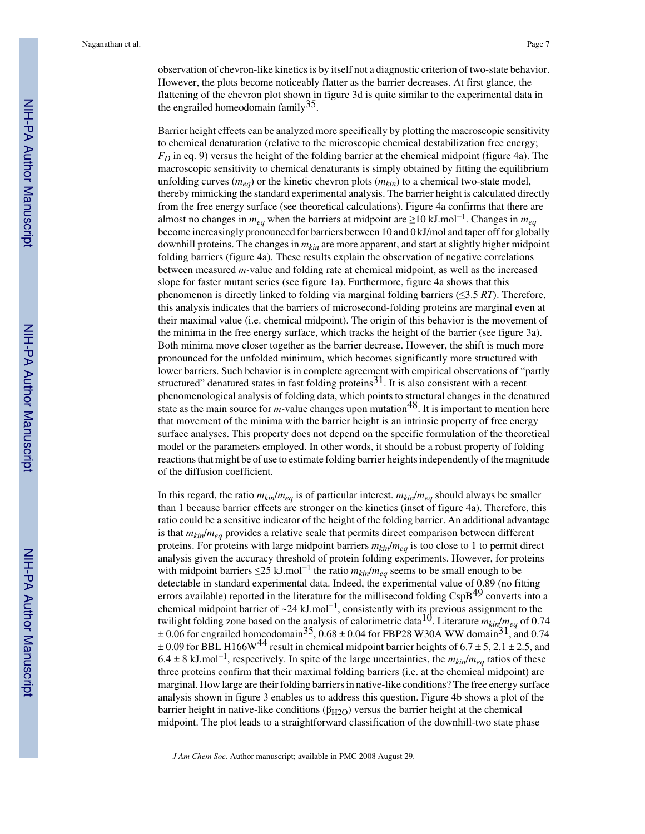observation of chevron-like kinetics is by itself not a diagnostic criterion of two-state behavior. However, the plots become noticeably flatter as the barrier decreases. At first glance, the flattening of the chevron plot shown in figure 3d is quite similar to the experimental data in the engrailed homeodomain family  $35$ .

Barrier height effects can be analyzed more specifically by plotting the macroscopic sensitivity to chemical denaturation (relative to the microscopic chemical destabilization free energy; *FD* in eq. 9) versus the height of the folding barrier at the chemical midpoint (figure 4a). The macroscopic sensitivity to chemical denaturants is simply obtained by fitting the equilibrium unfolding curves ( $m_{eq}$ ) or the kinetic chevron plots ( $m_{kin}$ ) to a chemical two-state model, thereby mimicking the standard experimental analysis. The barrier height is calculated directly from the free energy surface (see theoretical calculations). Figure 4a confirms that there are almost no changes in *meq* when the barriers at midpoint are ≥10 kJ.mol−<sup>1</sup> . Changes in *meq* become increasingly pronounced for barriers between 10 and 0 kJ/mol and taper off for globally downhill proteins. The changes in *mkin* are more apparent, and start at slightly higher midpoint folding barriers (figure 4a). These results explain the observation of negative correlations between measured *m-*value and folding rate at chemical midpoint, as well as the increased slope for faster mutant series (see figure 1a). Furthermore, figure 4a shows that this phenomenon is directly linked to folding via marginal folding barriers (≤3.5 *RT*). Therefore, this analysis indicates that the barriers of microsecond-folding proteins are marginal even at their maximal value (i.e. chemical midpoint). The origin of this behavior is the movement of the minima in the free energy surface, which tracks the height of the barrier (see figure 3a). Both minima move closer together as the barrier decrease. However, the shift is much more pronounced for the unfolded minimum, which becomes significantly more structured with lower barriers. Such behavior is in complete agreement with empirical observations of "partly structured" denatured states in fast folding proteins<sup>31</sup>. It is also consistent with a recent phenomenological analysis of folding data, which points to structural changes in the denatured state as the main source for  $m$ -value changes upon mutation<sup>48</sup>. It is important to mention here that movement of the minima with the barrier height is an intrinsic property of free energy surface analyses. This property does not depend on the specific formulation of the theoretical model or the parameters employed. In other words, it should be a robust property of folding reactions that might be of use to estimate folding barrier heights independently of the magnitude of the diffusion coefficient.

In this regard, the ratio  $m_{kin}/m_{eq}$  is of particular interest.  $m_{kin}/m_{eq}$  should always be smaller than 1 because barrier effects are stronger on the kinetics (inset of figure 4a). Therefore, this ratio could be a sensitive indicator of the height of the folding barrier. An additional advantage is that  $m_{kin}/m_{ea}$  provides a relative scale that permits direct comparison between different proteins. For proteins with large midpoint barriers  $m_{kin}/m_{ea}$  is too close to 1 to permit direct analysis given the accuracy threshold of protein folding experiments. However, for proteins with midpoint barriers ≤25 kJ.mol−<sup>1</sup> the ratio *mkin*/*meq* seems to be small enough to be detectable in standard experimental data. Indeed, the experimental value of 0.89 (no fitting errors available) reported in the literature for the millisecond folding CspB<sup>49</sup> converts into a chemical midpoint barrier of  $\sim$ 24 kJ.mol<sup>-1</sup>, consistently with its previous assignment to the twilight folding zone based on the analysis of calorimetric data<sup>10</sup>. Literature  $m_{kin}/m_{ea}$  of 0.74  $\pm 0.06$  for engrailed homeodomain<sup>35</sup>, 0.68  $\pm 0.04$  for FBP28 W30A WW domain<sup>31</sup>, and 0.74  $\pm$  0.09 for BBL H166W<sup>44</sup> result in chemical midpoint barrier heights of 6.7  $\pm$  5, 2.1  $\pm$  2.5, and 6.4 ± 8 kJ.mol−<sup>1</sup> , respectively. In spite of the large uncertainties, the *mkin*/*meq* ratios of these three proteins confirm that their maximal folding barriers (i.e. at the chemical midpoint) are marginal. How large are their folding barriers in native-like conditions? The free energy surface analysis shown in figure 3 enables us to address this question. Figure 4b shows a plot of the barrier height in native-like conditions ( $\beta_{H2O}$ ) versus the barrier height at the chemical midpoint. The plot leads to a straightforward classification of the downhill-two state phase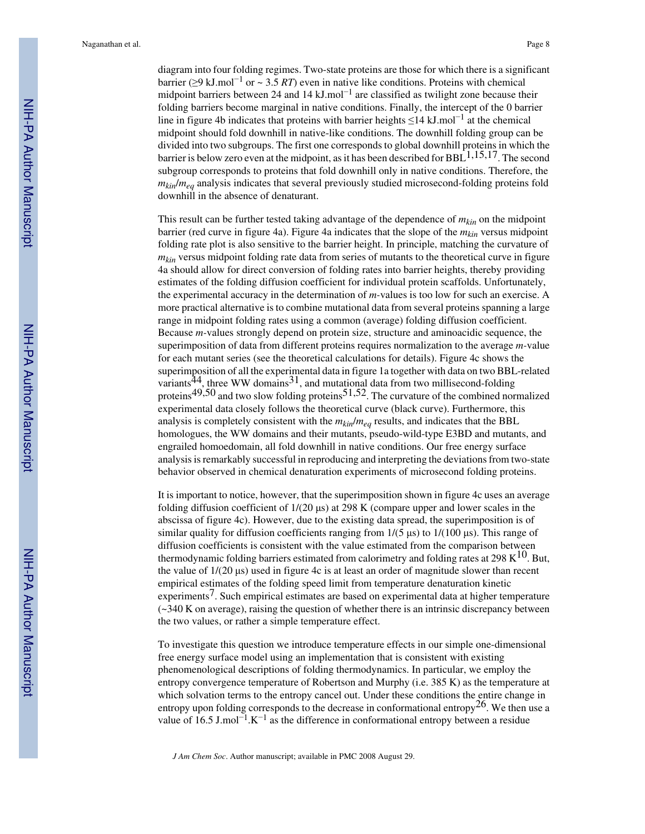diagram into four folding regimes. Two-state proteins are those for which there is a significant barrier (≥9 kJ.mol−<sup>1</sup> or ~ 3.5 *RT*) even in native like conditions. Proteins with chemical midpoint barriers between 24 and 14 kJ.mol<sup>-1</sup> are classified as twilight zone because their folding barriers become marginal in native conditions. Finally, the intercept of the 0 barrier line in figure 4b indicates that proteins with barrier heights ≤14 kJ.mol<sup>-1</sup> at the chemical midpoint should fold downhill in native-like conditions. The downhill folding group can be divided into two subgroups. The first one corresponds to global downhill proteins in which the barrier is below zero even at the midpoint, as it has been described for BBL  $1,15,17$ . The second subgroup corresponds to proteins that fold downhill only in native conditions. Therefore, the  $m_{kin}/m_{ea}$  analysis indicates that several previously studied microsecond-folding proteins fold downhill in the absence of denaturant.

This result can be further tested taking advantage of the dependence of *mkin* on the midpoint barrier (red curve in figure 4a). Figure 4a indicates that the slope of the *mkin* versus midpoint folding rate plot is also sensitive to the barrier height. In principle, matching the curvature of *m<sub>kin</sub>* versus midpoint folding rate data from series of mutants to the theoretical curve in figure 4a should allow for direct conversion of folding rates into barrier heights, thereby providing estimates of the folding diffusion coefficient for individual protein scaffolds. Unfortunately, the experimental accuracy in the determination of *m-*values is too low for such an exercise. A more practical alternative is to combine mutational data from several proteins spanning a large range in midpoint folding rates using a common (average) folding diffusion coefficient. Because *m-*values strongly depend on protein size, structure and aminoacidic sequence, the superimposition of data from different proteins requires normalization to the average *m-*value for each mutant series (see the theoretical calculations for details). Figure 4c shows the superimposition of all the experimental data in figure 1a together with data on two BBL-related variants<sup>44</sup>, three WW domains<sup>31</sup>, and mutational data from two millisecond-folding proteins<sup>49,50</sup> and two slow folding proteins<sup>51,52</sup>. The curvature of the combined normalized experimental data closely follows the theoretical curve (black curve). Furthermore, this analysis is completely consistent with the  $m_{kin}/m_{ea}$  results, and indicates that the BBL homologues, the WW domains and their mutants, pseudo-wild-type E3BD and mutants, and engrailed homoedomain, all fold downhill in native conditions. Our free energy surface analysis is remarkably successful in reproducing and interpreting the deviations from two-state behavior observed in chemical denaturation experiments of microsecond folding proteins.

It is important to notice, however, that the superimposition shown in figure 4c uses an average folding diffusion coefficient of 1/(20 μs) at 298 K (compare upper and lower scales in the abscissa of figure 4c). However, due to the existing data spread, the superimposition is of similar quality for diffusion coefficients ranging from  $1/(5 \text{ }\mu s)$  to  $1/(100 \text{ }\mu s)$ . This range of diffusion coefficients is consistent with the value estimated from the comparison between thermodynamic folding barriers estimated from calorimetry and folding rates at 298  $K^{10}$ . But, the value of 1/(20 μs) used in figure 4c is at least an order of magnitude slower than recent empirical estimates of the folding speed limit from temperature denaturation kinetic  $experiments<sup>7</sup>$ . Such empirical estimates are based on experimental data at higher temperature (~340 K on average), raising the question of whether there is an intrinsic discrepancy between the two values, or rather a simple temperature effect.

To investigate this question we introduce temperature effects in our simple one-dimensional free energy surface model using an implementation that is consistent with existing phenomenological descriptions of folding thermodynamics. In particular, we employ the entropy convergence temperature of Robertson and Murphy (i.e. 385 K) as the temperature at which solvation terms to the entropy cancel out. Under these conditions the entire change in entropy upon folding corresponds to the decrease in conformational entropy<sup>26</sup>. We then use a value of 16.5 J.mol<sup>-1</sup>.K<sup>-1</sup> as the difference in conformational entropy between a residue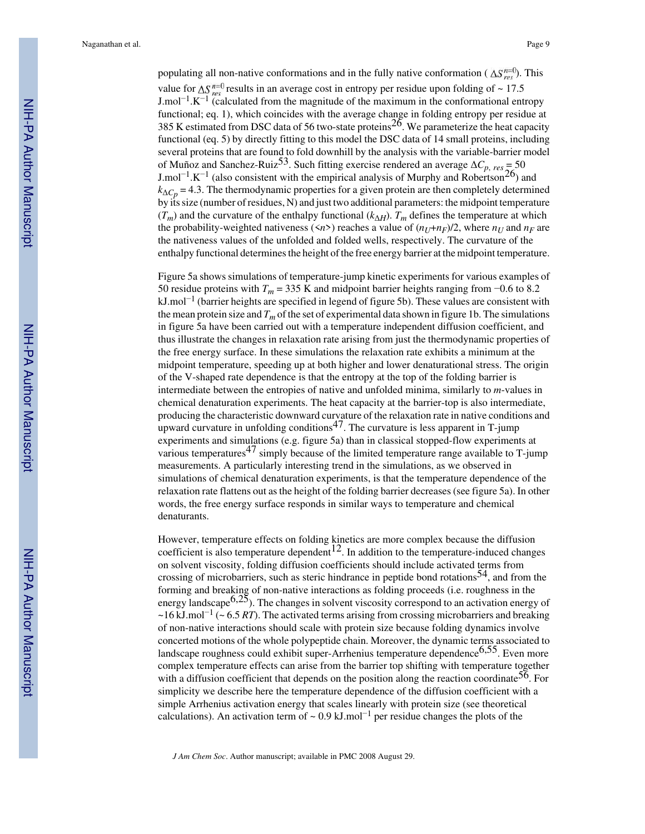populating all non-native conformations and in the fully native conformation ( $\Delta S_{res}^{n=0}$ ). This value for  $\Delta S_{res}^{n=0}$  results in an average cost in entropy per residue upon folding of ~ 17.5 J.mol<sup>-1</sup>.K<sup>-1</sup> (calculated from the magnitude of the maximum in the conformational entropy functional; eq. 1), which coincides with the average change in folding entropy per residue at 385 K estimated from DSC data of 56 two-state proteins<sup>26</sup>. We parameterize the heat capacity functional (eq. 5) by directly fitting to this model the DSC data of 14 small proteins, including several proteins that are found to fold downhill by the analysis with the variable-barrier model of Muñoz and Sanchez-Ruiz<sup>53</sup>. Such fitting exercise rendered an average  $\Delta C_p$ ,  $_{res} = 50$ J.mol<sup>-1</sup>.K<sup>-1</sup> (also consistent with the empirical analysis of Murphy and Robertson<sup>26</sup>) and  $k_{\Delta C_p}$  = 4.3. The thermodynamic properties for a given protein are then completely determined by its size (number of residues, N) and just two additional parameters: the midpoint temperature  $(T_m)$  and the curvature of the enthalpy functional  $(k_{\Delta H})$ .  $T_m$  defines the temperature at which the probability-weighted nativeness ( $\langle n \rangle$ ) reaches a value of  $(n_U+n_F)/2$ , where  $n_U$  and  $n_F$  are the nativeness values of the unfolded and folded wells, respectively. The curvature of the enthalpy functional determines the height of the free energy barrier at the midpoint temperature.

Figure 5a shows simulations of temperature-jump kinetic experiments for various examples of 50 residue proteins with  $T_m$  = 335 K and midpoint barrier heights ranging from  $-0.6$  to 8.2 kJ.mol<sup>-1</sup> (barrier heights are specified in legend of figure 5b). These values are consistent with the mean protein size and  $T_m$  of the set of experimental data shown in figure 1b. The simulations in figure 5a have been carried out with a temperature independent diffusion coefficient, and thus illustrate the changes in relaxation rate arising from just the thermodynamic properties of the free energy surface. In these simulations the relaxation rate exhibits a minimum at the midpoint temperature, speeding up at both higher and lower denaturational stress. The origin of the V-shaped rate dependence is that the entropy at the top of the folding barrier is intermediate between the entropies of native and unfolded minima, similarly to *m*-values in chemical denaturation experiments. The heat capacity at the barrier-top is also intermediate, producing the characteristic downward curvature of the relaxation rate in native conditions and upward curvature in unfolding conditions<sup>47</sup>. The curvature is less apparent in T-jump experiments and simulations (e.g. figure 5a) than in classical stopped-flow experiments at various temperatures<sup>47</sup> simply because of the limited temperature range available to  $T$ -jump measurements. A particularly interesting trend in the simulations, as we observed in simulations of chemical denaturation experiments, is that the temperature dependence of the relaxation rate flattens out as the height of the folding barrier decreases (see figure 5a). In other words, the free energy surface responds in similar ways to temperature and chemical denaturants.

However, temperature effects on folding kinetics are more complex because the diffusion coefficient is also temperature dependent<sup>12</sup>. In addition to the temperature-induced changes on solvent viscosity, folding diffusion coefficients should include activated terms from crossing of microbarriers, such as steric hindrance in peptide bond rotations<sup>54</sup>, and from the forming and breaking of non-native interactions as folding proceeds (i.e. roughness in the energy landscape $6,25$ ). The changes in solvent viscosity correspond to an activation energy of ~16 kJ.mol−<sup>1</sup> (~ 6.5 *RT*). The activated terms arising from crossing microbarriers and breaking of non-native interactions should scale with protein size because folding dynamics involve concerted motions of the whole polypeptide chain. Moreover, the dynamic terms associated to landscape roughness could exhibit super-Arrhenius temperature dependence $6,55$ . Even more complex temperature effects can arise from the barrier top shifting with temperature together with a diffusion coefficient that depends on the position along the reaction coordinate<sup>56</sup>. For simplicity we describe here the temperature dependence of the diffusion coefficient with a simple Arrhenius activation energy that scales linearly with protein size (see theoretical calculations). An activation term of  $\sim 0.9 \text{ kJ/mol}^{-1}$  per residue changes the plots of the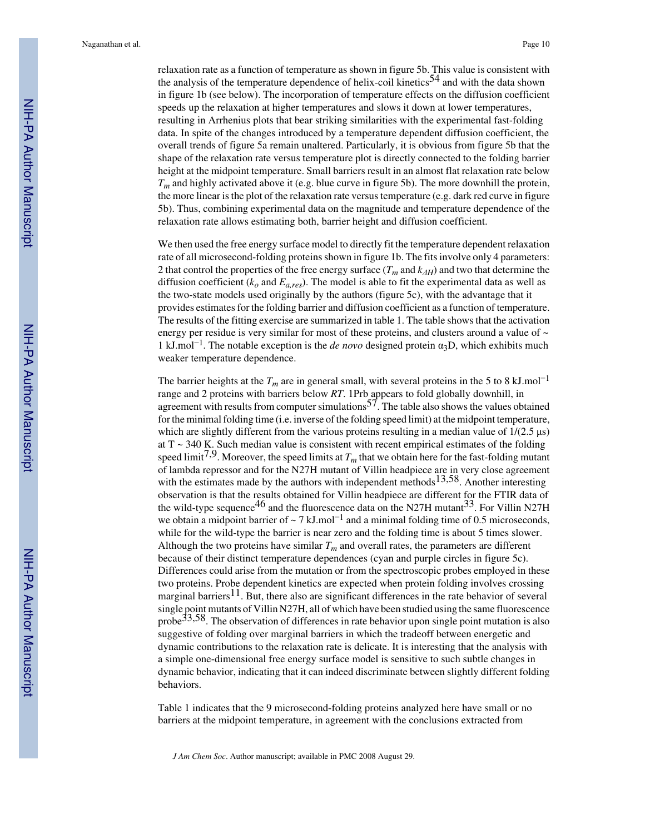relaxation rate as a function of temperature as shown in figure 5b. This value is consistent with the analysis of the temperature dependence of helix-coil kinetics<sup>54</sup> and with the data shown in figure 1b (see below). The incorporation of temperature effects on the diffusion coefficient speeds up the relaxation at higher temperatures and slows it down at lower temperatures, resulting in Arrhenius plots that bear striking similarities with the experimental fast-folding data. In spite of the changes introduced by a temperature dependent diffusion coefficient, the overall trends of figure 5a remain unaltered. Particularly, it is obvious from figure 5b that the shape of the relaxation rate versus temperature plot is directly connected to the folding barrier height at the midpoint temperature. Small barriers result in an almost flat relaxation rate below  $T_m$  and highly activated above it (e.g. blue curve in figure 5b). The more downhill the protein, the more linear is the plot of the relaxation rate versus temperature (e.g. dark red curve in figure 5b). Thus, combining experimental data on the magnitude and temperature dependence of the relaxation rate allows estimating both, barrier height and diffusion coefficient.

We then used the free energy surface model to directly fit the temperature dependent relaxation rate of all microsecond-folding proteins shown in figure 1b. The fits involve only 4 parameters: 2 that control the properties of the free energy surface (*Tm* and *kΔH*) and two that determine the diffusion coefficient  $(k_o \text{ and } E_{a, res})$ . The model is able to fit the experimental data as well as the two-state models used originally by the authors (figure 5c), with the advantage that it provides estimates for the folding barrier and diffusion coefficient as a function of temperature. The results of the fitting exercise are summarized in table 1. The table shows that the activation energy per residue is very similar for most of these proteins, and clusters around a value of  $\sim$ 1 kJ.mol−<sup>1</sup> . The notable exception is the *de novo* designed protein α3D, which exhibits much weaker temperature dependence.

The barrier heights at the  $T_m$  are in general small, with several proteins in the 5 to 8 kJ.mol<sup>-1</sup> range and 2 proteins with barriers below *RT*. 1Prb appears to fold globally downhill, in agreement with results from computer simulations  $57$ . The table also shows the values obtained for the minimal folding time (i.e. inverse of the folding speed limit) at the midpoint temperature, which are slightly different from the various proteins resulting in a median value of  $1/(2.5 \text{ }\mu\text{s})$ at T ~ 340 K. Such median value is consistent with recent empirical estimates of the folding speed limit<sup>7,9</sup>. Moreover, the speed limits at  $T_m$  that we obtain here for the fast-folding mutant of lambda repressor and for the N27H mutant of Villin headpiece are in very close agreement with the estimates made by the authors with independent methods  $13,58$ . Another interesting observation is that the results obtained for Villin headpiece are different for the FTIR data of the wild-type sequence<sup>46</sup> and the fluorescence data on the N27H mutant<sup>33</sup>. For Villin N27H we obtain a midpoint barrier of  $\sim$  7 kJ.mol<sup>-1</sup> and a minimal folding time of 0.5 microseconds, while for the wild-type the barrier is near zero and the folding time is about 5 times slower. Although the two proteins have similar  $T_m$  and overall rates, the parameters are different because of their distinct temperature dependences (cyan and purple circles in figure 5c). Differences could arise from the mutation or from the spectroscopic probes employed in these two proteins. Probe dependent kinetics are expected when protein folding involves crossing marginal barriers<sup>11</sup>. But, there also are significant differences in the rate behavior of several single point mutants of Villin N27H, all of which have been studied using the same fluorescence probe  $33,58$ . The observation of differences in rate behavior upon single point mutation is also suggestive of folding over marginal barriers in which the tradeoff between energetic and dynamic contributions to the relaxation rate is delicate. It is interesting that the analysis with a simple one-dimensional free energy surface model is sensitive to such subtle changes in dynamic behavior, indicating that it can indeed discriminate between slightly different folding behaviors.

Table 1 indicates that the 9 microsecond-folding proteins analyzed here have small or no barriers at the midpoint temperature, in agreement with the conclusions extracted from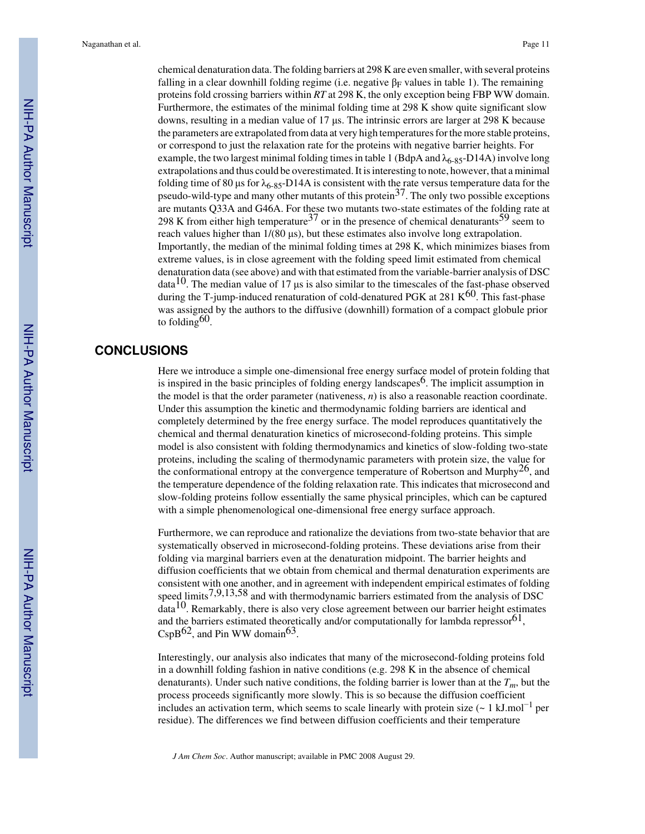chemical denaturation data. The folding barriers at 298 K are even smaller, with several proteins falling in a clear downhill folding regime (i.e. negative  $\beta_F$  values in table 1). The remaining proteins fold crossing barriers within *RT* at 298 K, the only exception being FBP WW domain. Furthermore, the estimates of the minimal folding time at 298 K show quite significant slow downs, resulting in a median value of 17 μs. The intrinsic errors are larger at 298 K because the parameters are extrapolated from data at very high temperatures for the more stable proteins, or correspond to just the relaxation rate for the proteins with negative barrier heights. For example, the two largest minimal folding times in table 1 (BdpA and  $\lambda_{6-85}$ -D14A) involve long extrapolations and thus could be overestimated. It is interesting to note, however, that a minimal folding time of 80 μs for  $\lambda_{6-85}$ -D14A is consistent with the rate versus temperature data for the pseudo-wild-type and many other mutants of this protein  $37$ . The only two possible exceptions are mutants Q33A and G46A. For these two mutants two-state estimates of the folding rate at 298 K from either high temperature<sup>37</sup> or in the presence of chemical denaturants<sup>59</sup> seem to reach values higher than 1/(80 μs), but these estimates also involve long extrapolation. Importantly, the median of the minimal folding times at 298 K, which minimizes biases from extreme values, is in close agreement with the folding speed limit estimated from chemical denaturation data (see above) and with that estimated from the variable-barrier analysis of DSC  $data<sup>10</sup>$ . The median value of 17 us is also similar to the timescales of the fast-phase observed during the T-jump-induced renaturation of cold-denatured PGK at 281 K $^{60}$ . This fast-phase was assigned by the authors to the diffusive (downhill) formation of a compact globule prior to folding  $60$ .

#### **CONCLUSIONS**

Here we introduce a simple one-dimensional free energy surface model of protein folding that is inspired in the basic principles of folding energy landscapes<sup>6</sup>. The implicit assumption in the model is that the order parameter (nativeness, *n*) is also a reasonable reaction coordinate. Under this assumption the kinetic and thermodynamic folding barriers are identical and completely determined by the free energy surface. The model reproduces quantitatively the chemical and thermal denaturation kinetics of microsecond-folding proteins. This simple model is also consistent with folding thermodynamics and kinetics of slow-folding two-state proteins, including the scaling of thermodynamic parameters with protein size, the value for the conformational entropy at the convergence temperature of Robertson and Murphy<sup>26</sup>, and the temperature dependence of the folding relaxation rate. This indicates that microsecond and slow-folding proteins follow essentially the same physical principles, which can be captured with a simple phenomenological one-dimensional free energy surface approach.

Furthermore, we can reproduce and rationalize the deviations from two-state behavior that are systematically observed in microsecond-folding proteins. These deviations arise from their folding via marginal barriers even at the denaturation midpoint. The barrier heights and diffusion coefficients that we obtain from chemical and thermal denaturation experiments are consistent with one another, and in agreement with independent empirical estimates of folding speed limits<sup>7,9,13,58</sup> and with thermodynamic barriers estimated from the analysis of DSC data10. Remarkably, there is also very close agreement between our barrier height estimates and the barriers estimated theoretically and/or computationally for lambda repressor  $61$ ,  $CSDB<sup>62</sup>$ , and Pin WW domain<sup>63</sup>.

Interestingly, our analysis also indicates that many of the microsecond-folding proteins fold in a downhill folding fashion in native conditions (e.g. 298 K in the absence of chemical denaturants). Under such native conditions, the folding barrier is lower than at the *Tm*, but the process proceeds significantly more slowly. This is so because the diffusion coefficient includes an activation term, which seems to scale linearly with protein size  $($  ~ 1 kJ.mol<sup>-1</sup> per residue). The differences we find between diffusion coefficients and their temperature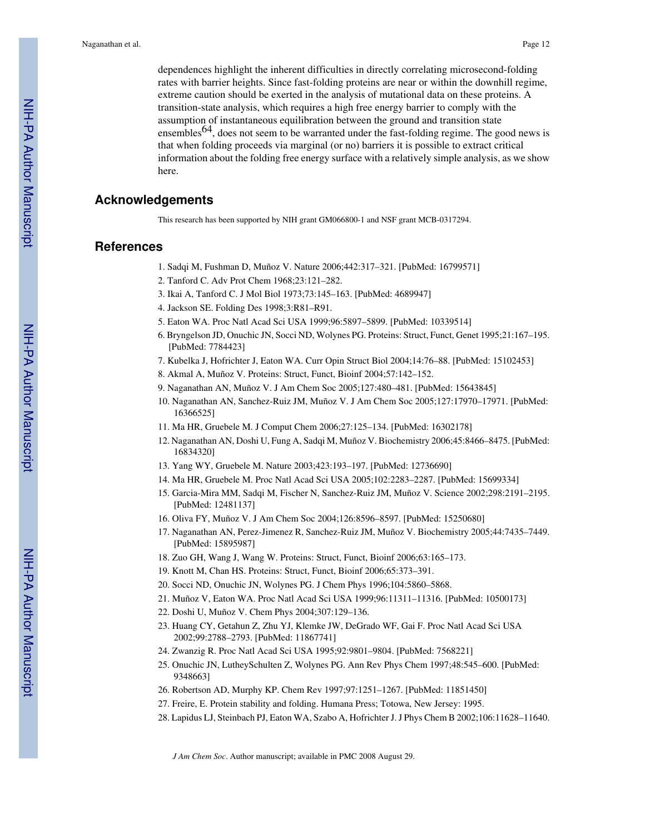dependences highlight the inherent difficulties in directly correlating microsecond-folding rates with barrier heights. Since fast-folding proteins are near or within the downhill regime, extreme caution should be exerted in the analysis of mutational data on these proteins. A transition-state analysis, which requires a high free energy barrier to comply with the assumption of instantaneous equilibration between the ground and transition state ensembles<sup>64</sup>, does not seem to be warranted under the fast-folding regime. The good news is that when folding proceeds via marginal (or no) barriers it is possible to extract critical information about the folding free energy surface with a relatively simple analysis, as we show here.

#### **Acknowledgements**

This research has been supported by NIH grant GM066800-1 and NSF grant MCB-0317294.

#### **References**

- 1. Sadqi M, Fushman D, Muñoz V. Nature 2006;442:317–321. [PubMed: 16799571]
- 2. Tanford C. Adv Prot Chem 1968;23:121–282.
- 3. Ikai A, Tanford C. J Mol Biol 1973;73:145–163. [PubMed: 4689947]
- 4. Jackson SE. Folding Des 1998;3:R81–R91.
- 5. Eaton WA. Proc Natl Acad Sci USA 1999;96:5897–5899. [PubMed: 10339514]
- 6. Bryngelson JD, Onuchic JN, Socci ND, Wolynes PG. Proteins: Struct, Funct, Genet 1995;21:167–195. [PubMed: 7784423]
- 7. Kubelka J, Hofrichter J, Eaton WA. Curr Opin Struct Biol 2004;14:76–88. [PubMed: 15102453]
- 8. Akmal A, Muñoz V. Proteins: Struct, Funct, Bioinf 2004;57:142–152.
- 9. Naganathan AN, Muñoz V. J Am Chem Soc 2005;127:480–481. [PubMed: 15643845]
- 10. Naganathan AN, Sanchez-Ruiz JM, Muñoz V. J Am Chem Soc 2005;127:17970–17971. [PubMed: 16366525]
- 11. Ma HR, Gruebele M. J Comput Chem 2006;27:125–134. [PubMed: 16302178]
- 12. Naganathan AN, Doshi U, Fung A, Sadqi M, Muñoz V. Biochemistry 2006;45:8466–8475. [PubMed: 16834320]
- 13. Yang WY, Gruebele M. Nature 2003;423:193–197. [PubMed: 12736690]
- 14. Ma HR, Gruebele M. Proc Natl Acad Sci USA 2005;102:2283–2287. [PubMed: 15699334]
- 15. Garcia-Mira MM, Sadqi M, Fischer N, Sanchez-Ruiz JM, Muñoz V. Science 2002;298:2191–2195. [PubMed: 12481137]
- 16. Oliva FY, Muñoz V. J Am Chem Soc 2004;126:8596–8597. [PubMed: 15250680]
- 17. Naganathan AN, Perez-Jimenez R, Sanchez-Ruiz JM, Muñoz V. Biochemistry 2005;44:7435–7449. [PubMed: 15895987]
- 18. Zuo GH, Wang J, Wang W. Proteins: Struct, Funct, Bioinf 2006;63:165–173.
- 19. Knott M, Chan HS. Proteins: Struct, Funct, Bioinf 2006;65:373–391.
- 20. Socci ND, Onuchic JN, Wolynes PG. J Chem Phys 1996;104:5860–5868.
- 21. Muñoz V, Eaton WA. Proc Natl Acad Sci USA 1999;96:11311–11316. [PubMed: 10500173]
- 22. Doshi U, Muñoz V. Chem Phys 2004;307:129–136.
- 23. Huang CY, Getahun Z, Zhu YJ, Klemke JW, DeGrado WF, Gai F. Proc Natl Acad Sci USA 2002;99:2788–2793. [PubMed: 11867741]
- 24. Zwanzig R. Proc Natl Acad Sci USA 1995;92:9801–9804. [PubMed: 7568221]
- 25. Onuchic JN, LutheySchulten Z, Wolynes PG. Ann Rev Phys Chem 1997;48:545–600. [PubMed: 9348663]
- 26. Robertson AD, Murphy KP. Chem Rev 1997;97:1251–1267. [PubMed: 11851450]
- 27. Freire, E. Protein stability and folding. Humana Press; Totowa, New Jersey: 1995.
- 28. Lapidus LJ, Steinbach PJ, Eaton WA, Szabo A, Hofrichter J. J Phys Chem B 2002;106:11628–11640.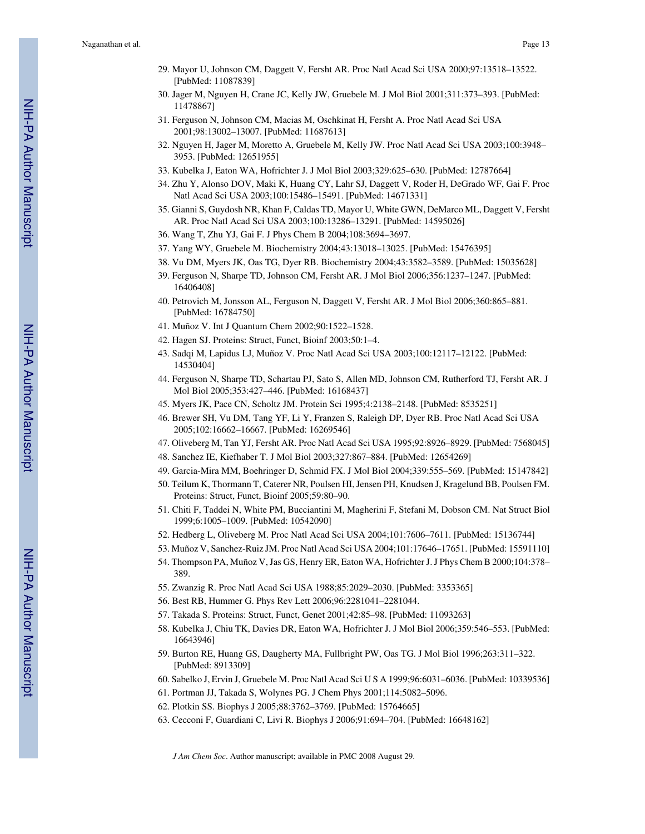- 29. Mayor U, Johnson CM, Daggett V, Fersht AR. Proc Natl Acad Sci USA 2000;97:13518–13522. [PubMed: 11087839]
- 30. Jager M, Nguyen H, Crane JC, Kelly JW, Gruebele M. J Mol Biol 2001;311:373–393. [PubMed: 11478867]
- 31. Ferguson N, Johnson CM, Macias M, Oschkinat H, Fersht A. Proc Natl Acad Sci USA 2001;98:13002–13007. [PubMed: 11687613]
- 32. Nguyen H, Jager M, Moretto A, Gruebele M, Kelly JW. Proc Natl Acad Sci USA 2003;100:3948– 3953. [PubMed: 12651955]
- 33. Kubelka J, Eaton WA, Hofrichter J. J Mol Biol 2003;329:625–630. [PubMed: 12787664]
- 34. Zhu Y, Alonso DOV, Maki K, Huang CY, Lahr SJ, Daggett V, Roder H, DeGrado WF, Gai F. Proc Natl Acad Sci USA 2003;100:15486–15491. [PubMed: 14671331]
- 35. Gianni S, Guydosh NR, Khan F, Caldas TD, Mayor U, White GWN, DeMarco ML, Daggett V, Fersht AR. Proc Natl Acad Sci USA 2003;100:13286–13291. [PubMed: 14595026]
- 36. Wang T, Zhu YJ, Gai F. J Phys Chem B 2004;108:3694–3697.
- 37. Yang WY, Gruebele M. Biochemistry 2004;43:13018–13025. [PubMed: 15476395]
- 38. Vu DM, Myers JK, Oas TG, Dyer RB. Biochemistry 2004;43:3582–3589. [PubMed: 15035628]
- 39. Ferguson N, Sharpe TD, Johnson CM, Fersht AR. J Mol Biol 2006;356:1237–1247. [PubMed: 16406408]
- 40. Petrovich M, Jonsson AL, Ferguson N, Daggett V, Fersht AR. J Mol Biol 2006;360:865–881. [PubMed: 16784750]
- 41. Muñoz V. Int J Quantum Chem 2002;90:1522–1528.
- 42. Hagen SJ. Proteins: Struct, Funct, Bioinf 2003;50:1–4.
- 43. Sadqi M, Lapidus LJ, Muñoz V. Proc Natl Acad Sci USA 2003;100:12117–12122. [PubMed: 14530404]
- 44. Ferguson N, Sharpe TD, Schartau PJ, Sato S, Allen MD, Johnson CM, Rutherford TJ, Fersht AR. J Mol Biol 2005;353:427–446. [PubMed: 16168437]
- 45. Myers JK, Pace CN, Scholtz JM. Protein Sci 1995;4:2138–2148. [PubMed: 8535251]
- 46. Brewer SH, Vu DM, Tang YF, Li Y, Franzen S, Raleigh DP, Dyer RB. Proc Natl Acad Sci USA 2005;102:16662–16667. [PubMed: 16269546]
- 47. Oliveberg M, Tan YJ, Fersht AR. Proc Natl Acad Sci USA 1995;92:8926–8929. [PubMed: 7568045]
- 48. Sanchez IE, Kiefhaber T. J Mol Biol 2003;327:867–884. [PubMed: 12654269]
- 49. Garcia-Mira MM, Boehringer D, Schmid FX. J Mol Biol 2004;339:555–569. [PubMed: 15147842]
- 50. Teilum K, Thormann T, Caterer NR, Poulsen HI, Jensen PH, Knudsen J, Kragelund BB, Poulsen FM. Proteins: Struct, Funct, Bioinf 2005;59:80–90.
- 51. Chiti F, Taddei N, White PM, Bucciantini M, Magherini F, Stefani M, Dobson CM. Nat Struct Biol 1999;6:1005–1009. [PubMed: 10542090]
- 52. Hedberg L, Oliveberg M. Proc Natl Acad Sci USA 2004;101:7606–7611. [PubMed: 15136744]
- 53. Muñoz V, Sanchez-Ruiz JM. Proc Natl Acad Sci USA 2004;101:17646–17651. [PubMed: 15591110]
- 54. Thompson PA, Muñoz V, Jas GS, Henry ER, Eaton WA, Hofrichter J. J Phys Chem B 2000;104:378– 389.
- 55. Zwanzig R. Proc Natl Acad Sci USA 1988;85:2029–2030. [PubMed: 3353365]
- 56. Best RB, Hummer G. Phys Rev Lett 2006;96:2281041–2281044.
- 57. Takada S. Proteins: Struct, Funct, Genet 2001;42:85–98. [PubMed: 11093263]
- 58. Kubelka J, Chiu TK, Davies DR, Eaton WA, Hofrichter J. J Mol Biol 2006;359:546–553. [PubMed: 16643946]
- 59. Burton RE, Huang GS, Daugherty MA, Fullbright PW, Oas TG. J Mol Biol 1996;263:311–322. [PubMed: 8913309]
- 60. Sabelko J, Ervin J, Gruebele M. Proc Natl Acad Sci U S A 1999;96:6031–6036. [PubMed: 10339536]
- 61. Portman JJ, Takada S, Wolynes PG. J Chem Phys 2001;114:5082–5096.
- 62. Plotkin SS. Biophys J 2005;88:3762–3769. [PubMed: 15764665]
- 63. Cecconi F, Guardiani C, Livi R. Biophys J 2006;91:694–704. [PubMed: 16648162]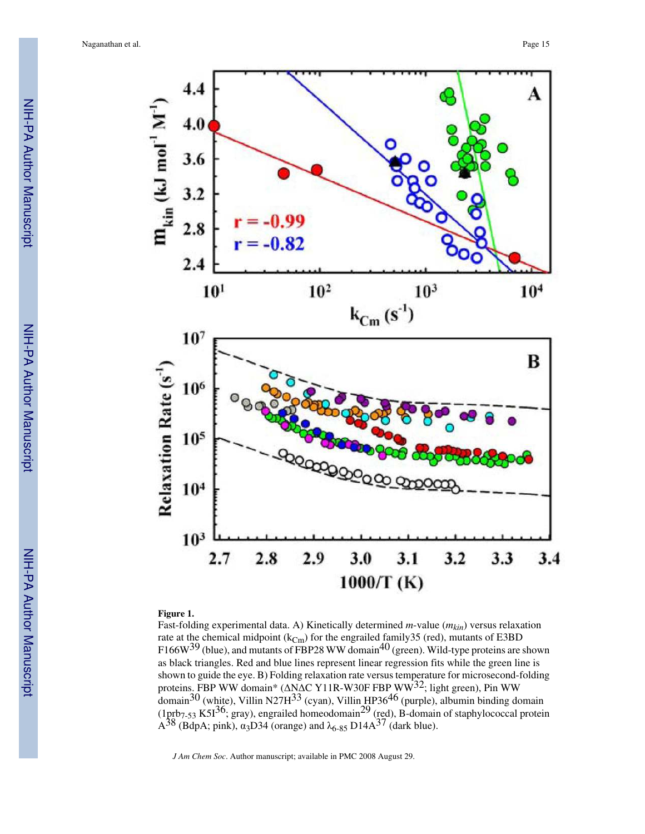

#### **Figure 1.**

Fast-folding experimental data. A) Kinetically determined *m*-value (*mkin*) versus relaxation rate at the chemical midpoint  $(k_{\text{Cm}})$  for the engrailed family 35 (red), mutants of E3BD F166W<sup>39</sup> (blue), and mutants of FBP28 WW domain<sup>40</sup> (green). Wild-type proteins are shown as black triangles. Red and blue lines represent linear regression fits while the green line is shown to guide the eye. B) Folding relaxation rate versus temperature for microsecond-folding proteins. FBP WW domain\* (ΔNΔC Y11R-W30F FBP WW<sup>32</sup>; light green), Pin WW domain<sup>30</sup> (white), Villin N27H<sup>33</sup> (cyan), Villin HP36<sup>46</sup> (purple), albumin binding domain (1prb<sub>7-53</sub> K5I<sup>36</sup>; gray), engrailed homeodomain<sup>29</sup> (red), B-domain of staphylococcal protein  $\overline{A}^{38}$  (BdpA; pink),  $\alpha_3$ D34 (orange) and  $\lambda_{6-85}$  D14 $\overline{A}^{37}$  (dark blue).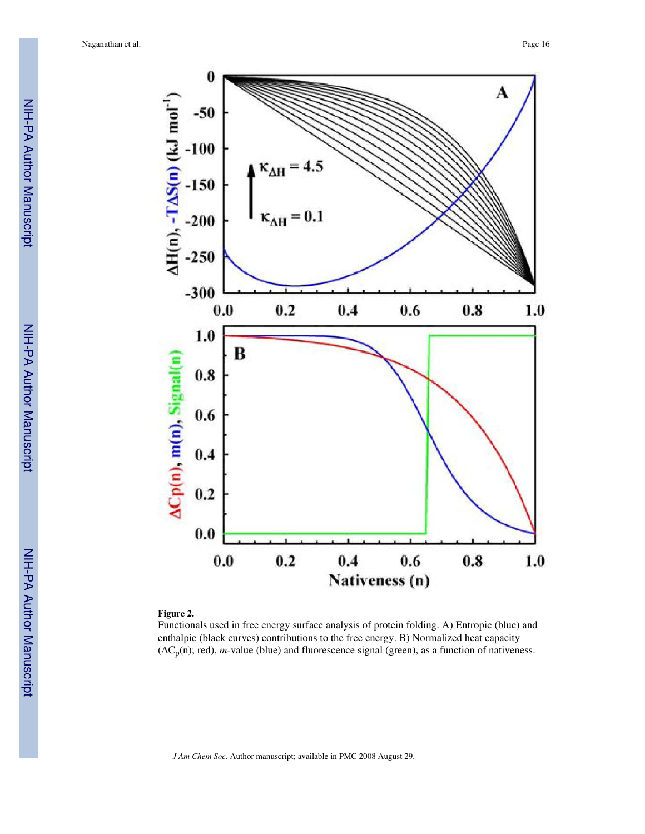

#### **Figure 2.**

Functionals used in free energy surface analysis of protein folding. A) Entropic (blue) and enthalpic (black curves) contributions to the free energy. B) Normalized heat capacity  $(\Delta C_p(n);$  red), *m*-value (blue) and fluorescence signal (green), as a function of nativeness.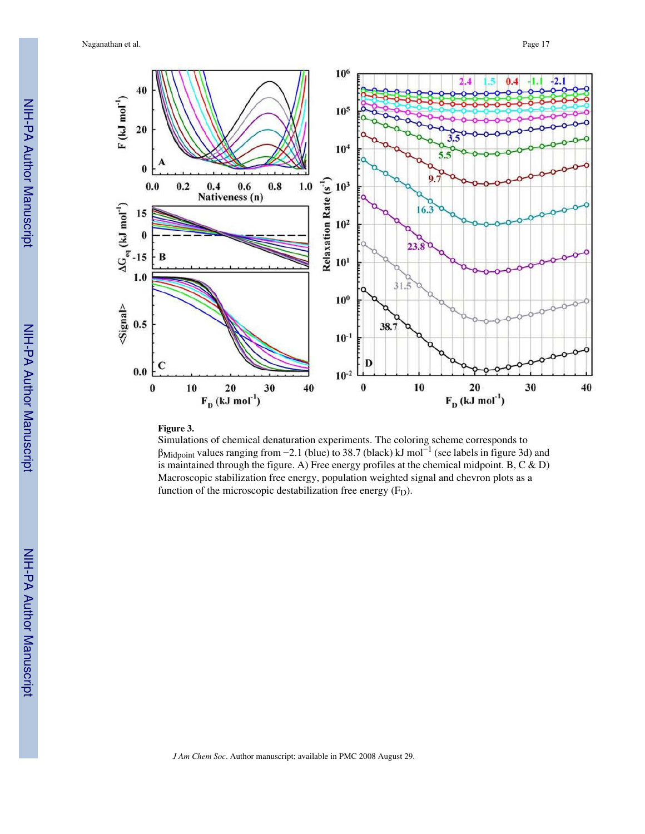

#### **Figure 3.**

Simulations of chemical denaturation experiments. The coloring scheme corresponds to βMidpoint values ranging from −2.1 (blue) to 38.7 (black) kJ mol−<sup>1</sup> (see labels in figure 3d) and is maintained through the figure. A) Free energy profiles at the chemical midpoint. B,  $C \& D$ Macroscopic stabilization free energy, population weighted signal and chevron plots as a function of the microscopic destabilization free energy  $(F_D)$ .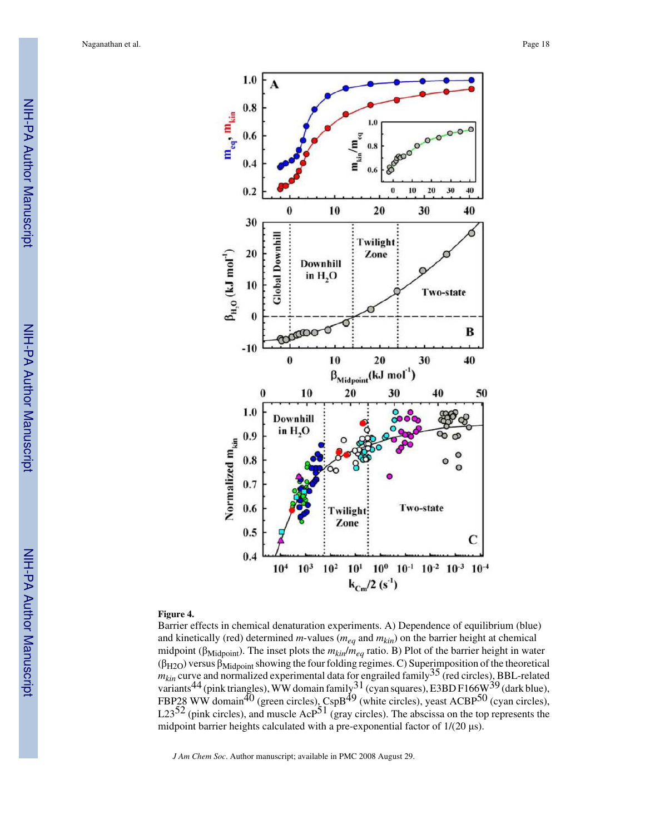

#### **Figure 4.**

Barrier effects in chemical denaturation experiments. A) Dependence of equilibrium (blue) and kinetically (red) determined *m*-values (*meq* and *mkin*) on the barrier height at chemical midpoint (βMidpoint). The inset plots the *mkin*/*meq* ratio. B) Plot of the barrier height in water  $(\beta_{H2O})$  versus  $\beta_{Midpoint}$  showing the four folding regimes. C) Superimposition of the theoretical  $m_{kin}$  curve and normalized experimental data for engrailed family<sup>35</sup> (red circles), BBL-related variants<sup>44</sup> (pink triangles), WW domain family  $31$  (cyan squares), E3BD F166W  $39$  (dark blue), FBP28 WW domain<sup>40</sup> (green circles), CspB<sup>49</sup> (white circles), yeast ACBP<sup>50</sup> (cyan circles), L23<sup>52</sup> (pink circles), and muscle Ac $P^{51}$  (gray circles). The abscissa on the top represents the midpoint barrier heights calculated with a pre-exponential factor of 1/(20 μs).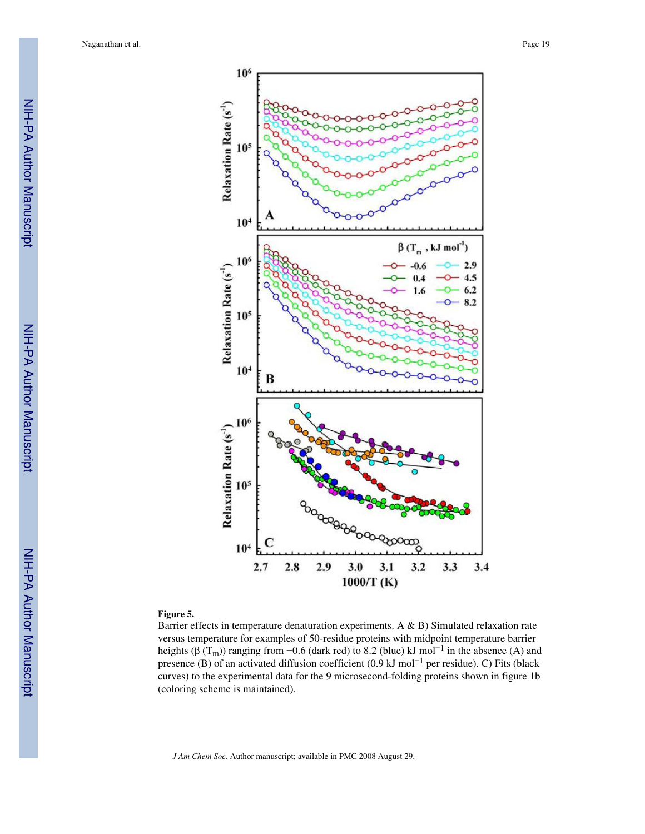

#### **Figure 5.**

Barrier effects in temperature denaturation experiments. A & B) Simulated relaxation rate versus temperature for examples of 50-residue proteins with midpoint temperature barrier heights (β (T<sub>m</sub>)) ranging from -0.6 (dark red) to 8.2 (blue) kJ mol<sup>-1</sup> in the absence (A) and presence (B) of an activated diffusion coefficient (0.9 kJ mol<sup>-1</sup> per residue). C) Fits (black curves) to the experimental data for the 9 microsecond-folding proteins shown in figure 1b (coloring scheme is maintained).